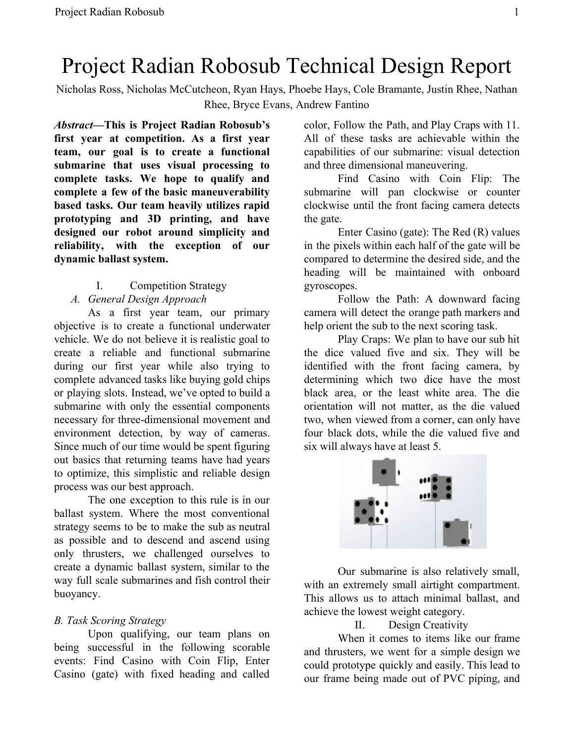# Project Radian Robosub Technical Design Report

Nicholas Ross, Nicholas McCutcheon, Ryan Hays, Phoebe Hays, Cole Bramante, Justin Rhee, Nathan Rhee, Bryce Evans, Andrew Fantino

*Abstract***—This is Project Radian Robosub's first year at competition. As a first year team, our goal is to create a functional submarine that uses visual processing to complete tasks. We hope to qualify and complete a few of the basic maneuverability based tasks. Our team heavily utilizes rapid prototyping and 3D printing, and have designed our robot around simplicity and reliability, with the exception of our dynamic ballast system.**

#### I. Competition Strategy

#### *A. General Design Approach*

As a first year team, our primary objective is to create a functional underwater vehicle. We do not believe it is realistic goal to create a reliable and functional submarine during our first year while also trying to complete advanced tasks like buying gold chips or playing slots. Instead, we've opted to build a submarine with only the essential components necessary for three-dimensional movement and environment detection, by way of cameras. Since much of our time would be spent figuring out basics that returning teams have had years to optimize, this simplistic and reliable design process was our best approach.

The one exception to this rule is in our ballast system. Where the most conventional strategy seems to be to make the sub as neutral as possible and to descend and ascend using only thrusters, we challenged ourselves to create a dynamic ballast system, similar to the way full scale submarines and fish control their buoyancy.

## *B. Task Scoring Strategy*

Upon qualifying, our team plans on being successful in the following scorable events: Find Casino with Coin Flip, Enter Casino (gate) with fixed heading and called color, Follow the Path, and Play Craps with 11. All of these tasks are achievable within the capabilities of our submarine: visual detection and three dimensional maneuvering.

Find Casino with Coin Flip: The submarine will pan clockwise or counter clockwise until the front facing camera detects the gate.

Enter Casino (gate): The Red (R) values in the pixels within each half of the gate will be compared to determine the desired side, and the heading will be maintained with onboard gyroscopes.

Follow the Path: A downward facing camera will detect the orange path markers and help orient the sub to the next scoring task.

Play Craps: We plan to have our sub hit the dice valued five and six. They will be identified with the front facing camera, by determining which two dice have the most black area, or the least white area. The die orientation will not matter, as the die valued two, when viewed from a corner, can only have four black dots, while the die valued five and six will always have at least 5.



Our submarine is also relatively small, with an extremely small airtight compartment. This allows us to attach minimal ballast, and achieve the lowest weight category.

## II. Design Creativity

When it comes to items like our frame and thrusters, we went for a simple design we could prototype quickly and easily. This lead to our frame being made out of PVC piping, and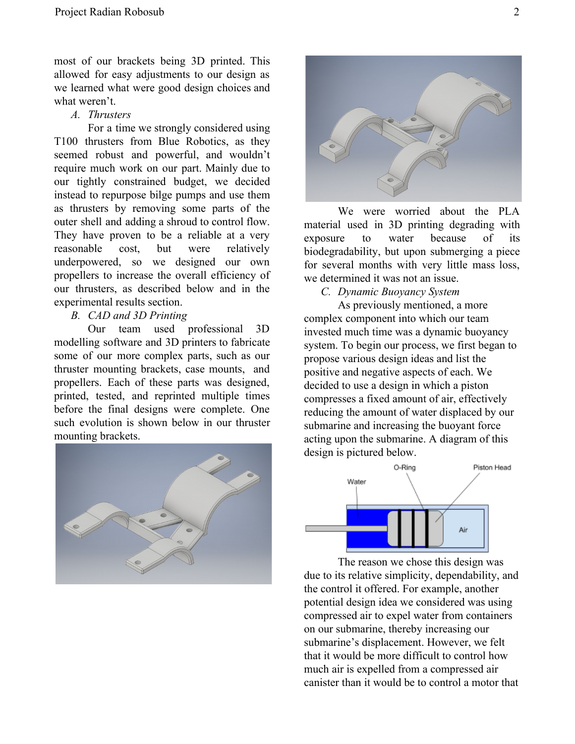most of our brackets being 3D printed. This allowed for easy adjustments to our design as we learned what were good design choices and what weren't.

*A. Thrusters*

For a time we strongly considered using T100 thrusters from Blue Robotics, as they seemed robust and powerful, and wouldn't require much work on our part. Mainly due to our tightly constrained budget, we decided instead to repurpose bilge pumps and use them as thrusters by removing some parts of the outer shell and adding a shroud to control flow. They have proven to be a reliable at a very reasonable cost, but were relatively underpowered, so we designed our own propellers to increase the overall efficiency of our thrusters, as described below and in the experimental results section.

*B. CAD and 3D Printing*

Our team used professional 3D modelling software and 3D printers to fabricate some of our more complex parts, such as our thruster mounting brackets, case mounts, and propellers. Each of these parts was designed, printed, tested, and reprinted multiple times before the final designs were complete. One such evolution is shown below in our thruster mounting brackets.





We were worried about the PLA material used in 3D printing degrading with exposure to water because of its biodegradability, but upon submerging a piece for several months with very little mass loss, we determined it was not an issue.

*C. Dynamic Buoyancy System*

As previously mentioned, a more complex component into which our team invested much time was a dynamic buoyancy system. To begin our process, we first began to propose various design ideas and list the positive and negative aspects of each. We decided to use a design in which a piston compresses a fixed amount of air, effectively reducing the amount of water displaced by our submarine and increasing the buoyant force acting upon the submarine. A diagram of this design is pictured below.



The reason we chose this design was due to its relative simplicity, dependability, and the control it offered. For example, another potential design idea we considered was using compressed air to expel water from containers on our submarine, thereby increasing our submarine's displacement. However, we felt that it would be more difficult to control how much air is expelled from a compressed air canister than it would be to control a motor that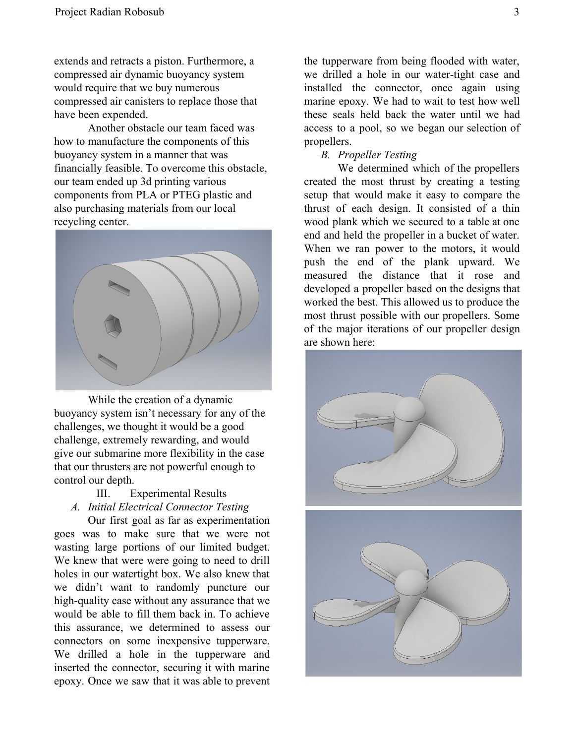extends and retracts a piston. Furthermore, a compressed air dynamic buoyancy system would require that we buy numerous compressed air canisters to replace those that have been expended.

Another obstacle our team faced was how to manufacture the components of this buoyancy system in a manner that was financially feasible. To overcome this obstacle, our team ended up 3d printing various components from PLA or PTEG plastic and also purchasing materials from our local recycling center.



While the creation of a dynamic buoyancy system isn't necessary for any of the challenges, we thought it would be a good challenge, extremely rewarding, and would give our submarine more flexibility in the case that our thrusters are not powerful enough to control our depth.

# III. Experimental Results *A. Initial Electrical Connector Testing*

Our first goal as far as experimentation goes was to make sure that we were not wasting large portions of our limited budget. We knew that were were going to need to drill holes in our watertight box. We also knew that we didn't want to randomly puncture our high-quality case without any assurance that we would be able to fill them back in. To achieve this assurance, we determined to assess our connectors on some inexpensive tupperware. We drilled a hole in the tupperware and inserted the connector, securing it with marine epoxy. Once we saw that it was able to prevent

the tupperware from being flooded with water, we drilled a hole in our water-tight case and installed the connector, once again using marine epoxy. We had to wait to test how well these seals held back the water until we had access to a pool, so we began our selection of propellers.

## *B. Propeller Testing*

We determined which of the propellers created the most thrust by creating a testing setup that would make it easy to compare the thrust of each design. It consisted of a thin wood plank which we secured to a table at one end and held the propeller in a bucket of water. When we ran power to the motors, it would push the end of the plank upward. We measured the distance that it rose and developed a propeller based on the designs that worked the best. This allowed us to produce the most thrust possible with our propellers. Some of the major iterations of our propeller design are shown here: